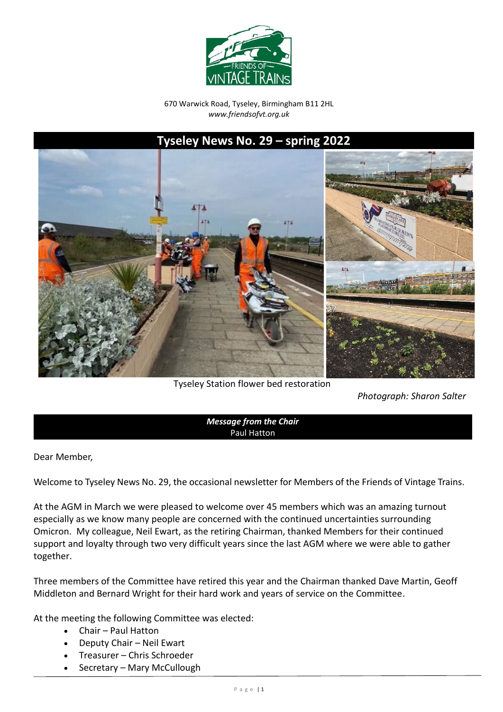

670 Warwick Road, Tyseley, Birmingham B11 2HL *www.friendsofvt.org.uk*

# **Tyseley News No. 29 – spring 2022**



Tyseley Station flower bed restoration

*Photograph: Sharon Salter*

*Message from the Chair* Paul Hatton

Dear Member,

Welcome to Tyseley News No. 29, the occasional newsletter for Members of the Friends of Vintage Trains.

At the AGM in March we were pleased to welcome over 45 members which was an amazing turnout especially as we know many people are concerned with the continued uncertainties surrounding Omicron. My colleague, Neil Ewart, as the retiring Chairman, thanked Members for their continued support and loyalty through two very difficult years since the last AGM where we were able to gather together.

Three members of the Committee have retired this year and the Chairman thanked Dave Martin, Geoff Middleton and Bernard Wright for their hard work and years of service on the Committee.

At the meeting the following Committee was elected:

- Chair Paul Hatton
- Deputy Chair Neil Ewart
- Treasurer Chris Schroeder
- Secretary Mary McCullough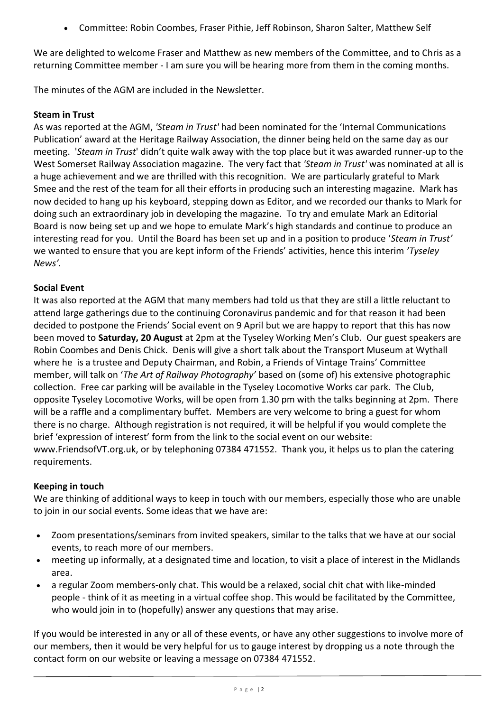• Committee: Robin Coombes, Fraser Pithie, Jeff Robinson, Sharon Salter, Matthew Self

We are delighted to welcome Fraser and Matthew as new members of the Committee, and to Chris as a returning Committee member - I am sure you will be hearing more from them in the coming months.

The minutes of the AGM are included in the Newsletter.

# **Steam in Trust**

As was reported at the AGM, *'Steam in Trust'* had been nominated for the 'Internal Communications Publication' award at the Heritage Railway Association, the dinner being held on the same day as our meeting. '*Steam in Trust*' didn't quite walk away with the top place but it was awarded runner-up to the West Somerset Railway Association magazine. The very fact that *'Steam in Trust'* was nominated at all is a huge achievement and we are thrilled with this recognition. We are particularly grateful to Mark Smee and the rest of the team for all their efforts in producing such an interesting magazine. Mark has now decided to hang up his keyboard, stepping down as Editor, and we recorded our thanks to Mark for doing such an extraordinary job in developing the magazine. To try and emulate Mark an Editorial Board is now being set up and we hope to emulate Mark's high standards and continue to produce an interesting read for you. Until the Board has been set up and in a position to produce '*Steam in Trust'*  we wanted to ensure that you are kept inform of the Friends' activities, hence this interim *'Tyseley News'.*

# **Social Event**

It was also reported at the AGM that many members had told us that they are still a little reluctant to attend large gatherings due to the continuing Coronavirus pandemic and for that reason it had been decided to postpone the Friends' Social event on 9 April but we are happy to report that this has now been moved to **Saturday, 20 August** at 2pm at the Tyseley Working Men's Club. Our guest speakers are Robin Coombes and Denis Chick. Denis will give a short talk about the Transport Museum at Wythall where he is a trustee and Deputy Chairman, and Robin, a Friends of Vintage Trains' Committee member, will talk on '*The Art of Railway Photography'* based on (some of) his extensive photographic collection. Free car parking will be available in the Tyseley Locomotive Works car park. The Club, opposite Tyseley Locomotive Works, will be open from 1.30 pm with the talks beginning at 2pm. There will be a raffle and a complimentary buffet. Members are very welcome to bring a guest for whom there is no charge. Although registration is not required, it will be helpful if you would complete the brief 'expression of interest' form from the link to the social event on our website: [www.FriendsofVT.org.uk,](http://www.friendsofvt.org.uk/) or by telephoning 07384 471552. Thank you, it helps us to plan the catering requirements.

# **Keeping in touch**

We are thinking of additional ways to keep in touch with our members, especially those who are unable to join in our social events. Some ideas that we have are:

- Zoom presentations/seminars from invited speakers, similar to the talks that we have at our social events, to reach more of our members.
- meeting up informally, at a designated time and location, to visit a place of interest in the Midlands area.
- a regular Zoom members-only chat. This would be a relaxed, social chit chat with like-minded people - think of it as meeting in a virtual coffee shop. This would be facilitated by the Committee, who would join in to (hopefully) answer any questions that may arise.

If you would be interested in any or all of these events, or have any other suggestions to involve more of our members, then it would be very helpful for us to gauge interest by dropping us a note through the contact form on our website or leaving a message on 07384 471552.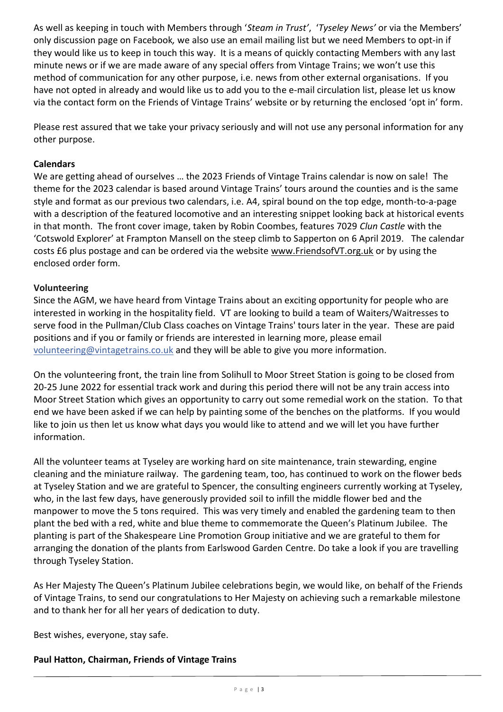As well as keeping in touch with Members through '*Steam in Trust'*, '*Tyseley News'* or via the Members' only discussion page on Facebook*,* we also use an email mailing list but we need Members to opt-in if they would like us to keep in touch this way. It is a means of quickly contacting Members with any last minute news or if we are made aware of any special offers from Vintage Trains; we won't use this method of communication for any other purpose, i.e. news from other external organisations. If you have not opted in already and would like us to add you to the e-mail circulation list, please let us know via the contact form on the Friends of Vintage Trains' website or by returning the enclosed 'opt in' form.

Please rest assured that we take your privacy seriously and will not use any personal information for any other purpose.

# **Calendars**

We are getting ahead of ourselves … the 2023 Friends of Vintage Trains calendar is now on sale! The theme for the 2023 calendar is based around Vintage Trains' tours around the counties and is the same style and format as our previous two calendars, i.e. A4, spiral bound on the top edge, month-to-a-page with a description of the featured locomotive and an interesting snippet looking back at historical events in that month. The front cover image, taken by Robin Coombes, features 7029 *Clun Castle* with the 'Cotswold Explorer' at Frampton Mansell on the steep climb to Sapperton on 6 April 2019. The calendar costs £6 plus postage and can be ordered via the website [www.FriendsofVT.org.uk](http://www.friendsofvt.org.uk/) or by using the enclosed order form.

# **Volunteering**

Since the AGM, we have heard from Vintage Trains about an exciting opportunity for people who are interested in working in the hospitality field. VT are looking to build a team of Waiters/Waitresses to serve food in the Pullman/Club Class coaches on Vintage Trains' tours later in the year. These are paid positions and if you or family or friends are interested in learning more, please email [volunteering@vintagetrains.co.uk](mailto:volunteering@vintagetrains.co.uk) and they will be able to give you more information.

On the volunteering front, the train line from Solihull to Moor Street Station is going to be closed from 20-25 June 2022 for essential track work and during this period there will not be any train access into Moor Street Station which gives an opportunity to carry out some remedial work on the station. To that end we have been asked if we can help by painting some of the benches on the platforms. If you would like to join us then let us know what days you would like to attend and we will let you have further information.

All the volunteer teams at Tyseley are working hard on site maintenance, train stewarding, engine cleaning and the miniature railway. The gardening team, too, has continued to work on the flower beds at Tyseley Station and we are grateful to Spencer, the consulting engineers currently working at Tyseley, who, in the last few days, have generously provided soil to infill the middle flower bed and the manpower to move the 5 tons required. This was very timely and enabled the gardening team to then plant the bed with a red, white and blue theme to commemorate the Queen's Platinum Jubilee. The planting is part of the Shakespeare Line Promotion Group initiative and we are grateful to them for arranging the donation of the plants from Earlswood Garden Centre. Do take a look if you are travelling through Tyseley Station.

As Her Majesty The Queen's Platinum Jubilee celebrations begin, we would like, on behalf of the Friends of Vintage Trains, to send our congratulations to Her Majesty on achieving such a remarkable milestone and to thank her for all her years of dedication to duty.

Best wishes, everyone, stay safe.

# **Paul Hatton, Chairman, Friends of Vintage Trains**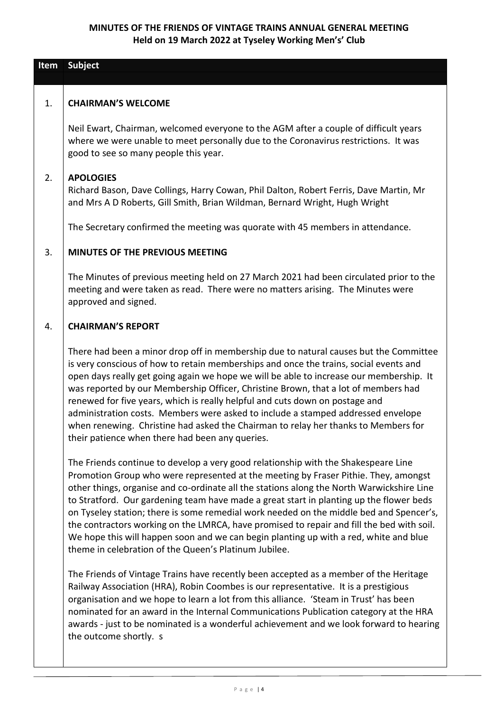# **MINUTES OF THE FRIENDS OF VINTAGE TRAINS ANNUAL GENERAL MEETING Held on 19 March 2022 at Tyseley Working Men's' Club**

| Item | Subject                                                                                                                                                                                                                                                                                                                                                                                                                                                                                                                                                                                                                                                                                                     |
|------|-------------------------------------------------------------------------------------------------------------------------------------------------------------------------------------------------------------------------------------------------------------------------------------------------------------------------------------------------------------------------------------------------------------------------------------------------------------------------------------------------------------------------------------------------------------------------------------------------------------------------------------------------------------------------------------------------------------|
|      |                                                                                                                                                                                                                                                                                                                                                                                                                                                                                                                                                                                                                                                                                                             |
| 1.   | <b>CHAIRMAN'S WELCOME</b>                                                                                                                                                                                                                                                                                                                                                                                                                                                                                                                                                                                                                                                                                   |
|      | Neil Ewart, Chairman, welcomed everyone to the AGM after a couple of difficult years<br>where we were unable to meet personally due to the Coronavirus restrictions. It was<br>good to see so many people this year.                                                                                                                                                                                                                                                                                                                                                                                                                                                                                        |
| 2.   | <b>APOLOGIES</b><br>Richard Bason, Dave Collings, Harry Cowan, Phil Dalton, Robert Ferris, Dave Martin, Mr<br>and Mrs A D Roberts, Gill Smith, Brian Wildman, Bernard Wright, Hugh Wright                                                                                                                                                                                                                                                                                                                                                                                                                                                                                                                   |
|      | The Secretary confirmed the meeting was quorate with 45 members in attendance.                                                                                                                                                                                                                                                                                                                                                                                                                                                                                                                                                                                                                              |
| 3.   | <b>MINUTES OF THE PREVIOUS MEETING</b>                                                                                                                                                                                                                                                                                                                                                                                                                                                                                                                                                                                                                                                                      |
|      | The Minutes of previous meeting held on 27 March 2021 had been circulated prior to the<br>meeting and were taken as read. There were no matters arising. The Minutes were<br>approved and signed.                                                                                                                                                                                                                                                                                                                                                                                                                                                                                                           |
| 4.   | <b>CHAIRMAN'S REPORT</b>                                                                                                                                                                                                                                                                                                                                                                                                                                                                                                                                                                                                                                                                                    |
|      | There had been a minor drop off in membership due to natural causes but the Committee<br>is very conscious of how to retain memberships and once the trains, social events and<br>open days really get going again we hope we will be able to increase our membership. It<br>was reported by our Membership Officer, Christine Brown, that a lot of members had<br>renewed for five years, which is really helpful and cuts down on postage and<br>administration costs. Members were asked to include a stamped addressed envelope<br>when renewing. Christine had asked the Chairman to relay her thanks to Members for<br>their patience when there had been any queries.                                |
|      | The Friends continue to develop a very good relationship with the Shakespeare Line<br>Promotion Group who were represented at the meeting by Fraser Pithie. They, amongst<br>other things, organise and co-ordinate all the stations along the North Warwickshire Line<br>to Stratford. Our gardening team have made a great start in planting up the flower beds<br>on Tyseley station; there is some remedial work needed on the middle bed and Spencer's,<br>the contractors working on the LMRCA, have promised to repair and fill the bed with soil.<br>We hope this will happen soon and we can begin planting up with a red, white and blue<br>theme in celebration of the Queen's Platinum Jubilee. |
|      | The Friends of Vintage Trains have recently been accepted as a member of the Heritage<br>Railway Association (HRA), Robin Coombes is our representative. It is a prestigious<br>organisation and we hope to learn a lot from this alliance. 'Steam in Trust' has been<br>nominated for an award in the Internal Communications Publication category at the HRA<br>awards - just to be nominated is a wonderful achievement and we look forward to hearing<br>the outcome shortly. s                                                                                                                                                                                                                         |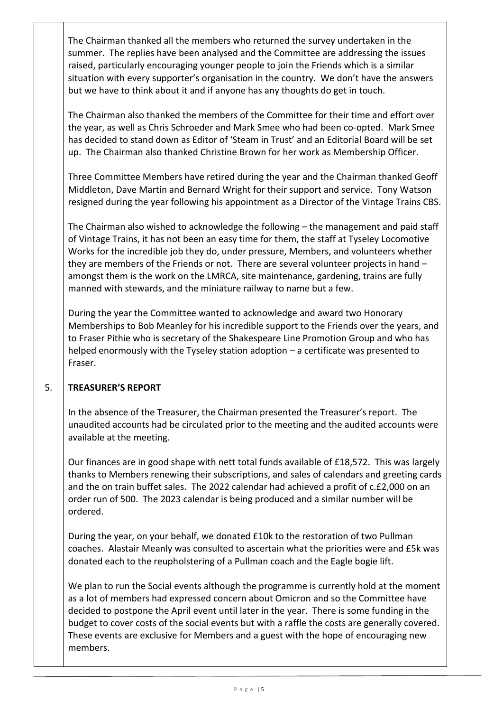The Chairman thanked all the members who returned the survey undertaken in the summer. The replies have been analysed and the Committee are addressing the issues raised, particularly encouraging younger people to join the Friends which is a similar situation with every supporter's organisation in the country. We don't have the answers but we have to think about it and if anyone has any thoughts do get in touch.

The Chairman also thanked the members of the Committee for their time and effort over the year, as well as Chris Schroeder and Mark Smee who had been co-opted. Mark Smee has decided to stand down as Editor of 'Steam in Trust' and an Editorial Board will be set up. The Chairman also thanked Christine Brown for her work as Membership Officer.

Three Committee Members have retired during the year and the Chairman thanked Geoff Middleton, Dave Martin and Bernard Wright for their support and service. Tony Watson resigned during the year following his appointment as a Director of the Vintage Trains CBS.

The Chairman also wished to acknowledge the following – the management and paid staff of Vintage Trains, it has not been an easy time for them, the staff at Tyseley Locomotive Works for the incredible job they do, under pressure, Members, and volunteers whether they are members of the Friends or not. There are several volunteer projects in hand – amongst them is the work on the LMRCA, site maintenance, gardening, trains are fully manned with stewards, and the miniature railway to name but a few.

During the year the Committee wanted to acknowledge and award two Honorary Memberships to Bob Meanley for his incredible support to the Friends over the years, and to Fraser Pithie who is secretary of the Shakespeare Line Promotion Group and who has helped enormously with the Tyseley station adoption – a certificate was presented to Fraser.

# 5. **TREASURER'S REPORT**

In the absence of the Treasurer, the Chairman presented the Treasurer's report. The unaudited accounts had be circulated prior to the meeting and the audited accounts were available at the meeting.

Our finances are in good shape with nett total funds available of £18,572. This was largely thanks to Members renewing their subscriptions, and sales of calendars and greeting cards and the on train buffet sales. The 2022 calendar had achieved a profit of c.£2,000 on an order run of 500. The 2023 calendar is being produced and a similar number will be ordered.

During the year, on your behalf, we donated £10k to the restoration of two Pullman coaches. Alastair Meanly was consulted to ascertain what the priorities were and £5k was donated each to the reupholstering of a Pullman coach and the Eagle bogie lift.

We plan to run the Social events although the programme is currently hold at the moment as a lot of members had expressed concern about Omicron and so the Committee have decided to postpone the April event until later in the year. There is some funding in the budget to cover costs of the social events but with a raffle the costs are generally covered. These events are exclusive for Members and a guest with the hope of encouraging new members.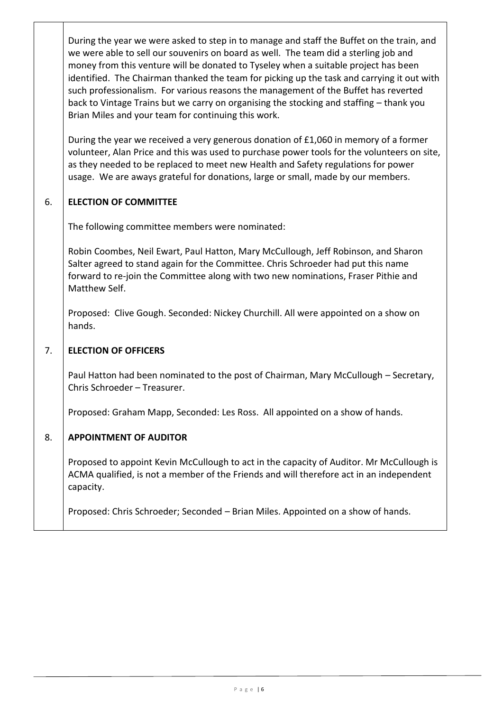During the year we were asked to step in to manage and staff the Buffet on the train, and we were able to sell our souvenirs on board as well. The team did a sterling job and money from this venture will be donated to Tyseley when a suitable project has been identified. The Chairman thanked the team for picking up the task and carrying it out with such professionalism. For various reasons the management of the Buffet has reverted back to Vintage Trains but we carry on organising the stocking and staffing – thank you Brian Miles and your team for continuing this work.

During the year we received a very generous donation of £1,060 in memory of a former volunteer, Alan Price and this was used to purchase power tools for the volunteers on site, as they needed to be replaced to meet new Health and Safety regulations for power usage. We are aways grateful for donations, large or small, made by our members.

# 6. **ELECTION OF COMMITTEE**

The following committee members were nominated:

Robin Coombes, Neil Ewart, Paul Hatton, Mary McCullough, Jeff Robinson, and Sharon Salter agreed to stand again for the Committee. Chris Schroeder had put this name forward to re-join the Committee along with two new nominations, Fraser Pithie and Matthew Self.

Proposed: Clive Gough. Seconded: Nickey Churchill. All were appointed on a show on hands.

# 7. **ELECTION OF OFFICERS**

Paul Hatton had been nominated to the post of Chairman, Mary McCullough – Secretary, Chris Schroeder – Treasurer.

Proposed: Graham Mapp, Seconded: Les Ross. All appointed on a show of hands.

# 8. **APPOINTMENT OF AUDITOR**

Proposed to appoint Kevin McCullough to act in the capacity of Auditor. Mr McCullough is ACMA qualified, is not a member of the Friends and will therefore act in an independent capacity.

Proposed: Chris Schroeder; Seconded – Brian Miles. Appointed on a show of hands.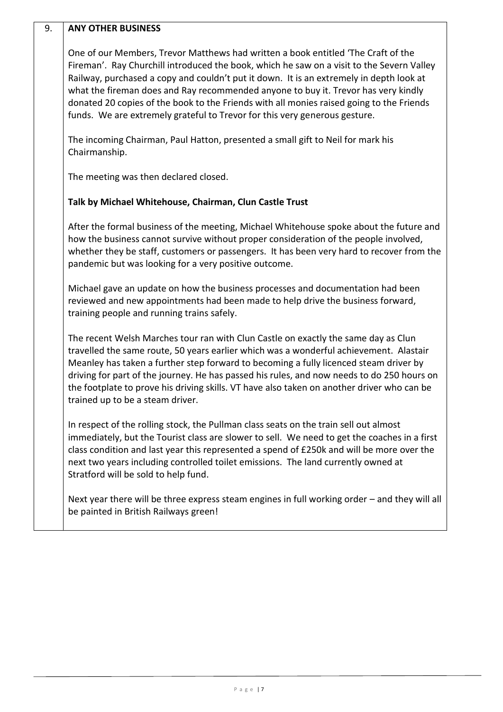# 9. **ANY OTHER BUSINESS**

One of our Members, Trevor Matthews had written a book entitled 'The Craft of the Fireman'. Ray Churchill introduced the book, which he saw on a visit to the Severn Valley Railway, purchased a copy and couldn't put it down. It is an extremely in depth look at what the fireman does and Ray recommended anyone to buy it. Trevor has very kindly donated 20 copies of the book to the Friends with all monies raised going to the Friends funds. We are extremely grateful to Trevor for this very generous gesture.

The incoming Chairman, Paul Hatton, presented a small gift to Neil for mark his Chairmanship.

The meeting was then declared closed.

# **Talk by Michael Whitehouse, Chairman, Clun Castle Trust**

After the formal business of the meeting, Michael Whitehouse spoke about the future and how the business cannot survive without proper consideration of the people involved, whether they be staff, customers or passengers. It has been very hard to recover from the pandemic but was looking for a very positive outcome.

Michael gave an update on how the business processes and documentation had been reviewed and new appointments had been made to help drive the business forward, training people and running trains safely.

The recent Welsh Marches tour ran with Clun Castle on exactly the same day as Clun travelled the same route, 50 years earlier which was a wonderful achievement. Alastair Meanley has taken a further step forward to becoming a fully licenced steam driver by driving for part of the journey. He has passed his rules, and now needs to do 250 hours on the footplate to prove his driving skills. VT have also taken on another driver who can be trained up to be a steam driver.

In respect of the rolling stock, the Pullman class seats on the train sell out almost immediately, but the Tourist class are slower to sell. We need to get the coaches in a first class condition and last year this represented a spend of £250k and will be more over the next two years including controlled toilet emissions. The land currently owned at Stratford will be sold to help fund.

Next year there will be three express steam engines in full working order – and they will all be painted in British Railways green!